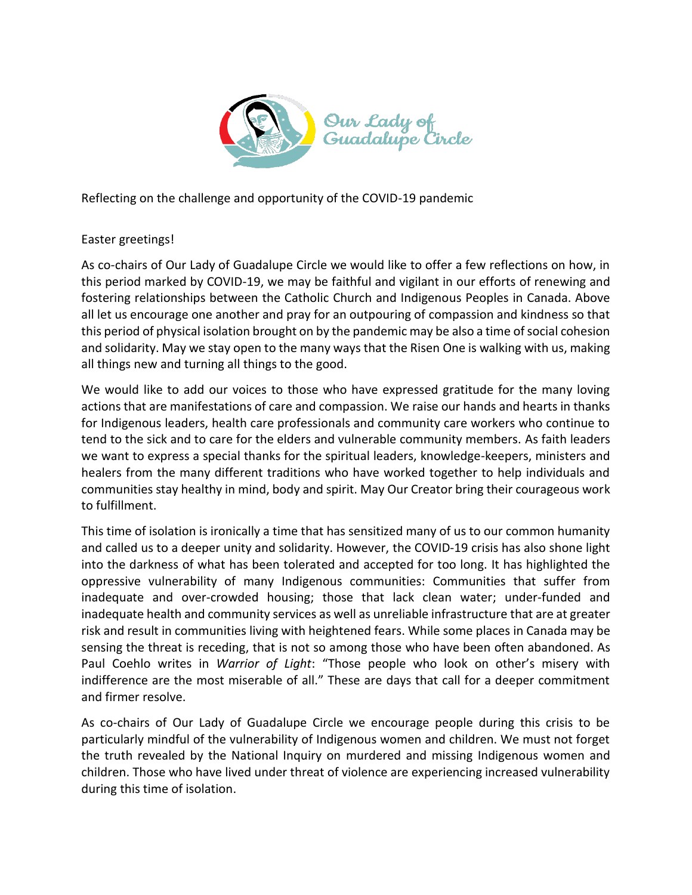

Reflecting on the challenge and opportunity of the COVID-19 pandemic

## Easter greetings!

As co-chairs of Our Lady of Guadalupe Circle we would like to offer a few reflections on how, in this period marked by COVID-19, we may be faithful and vigilant in our efforts of renewing and fostering relationships between the Catholic Church and Indigenous Peoples in Canada. Above all let us encourage one another and pray for an outpouring of compassion and kindness so that this period of physical isolation brought on by the pandemic may be also a time of social cohesion and solidarity. May we stay open to the many ways that the Risen One is walking with us, making all things new and turning all things to the good.

We would like to add our voices to those who have expressed gratitude for the many loving actions that are manifestations of care and compassion. We raise our hands and hearts in thanks for Indigenous leaders, health care professionals and community care workers who continue to tend to the sick and to care for the elders and vulnerable community members. As faith leaders we want to express a special thanks for the spiritual leaders, knowledge-keepers, ministers and healers from the many different traditions who have worked together to help individuals and communities stay healthy in mind, body and spirit. May Our Creator bring their courageous work to fulfillment.

This time of isolation is ironically a time that has sensitized many of us to our common humanity and called us to a deeper unity and solidarity. However, the COVID-19 crisis has also shone light into the darkness of what has been tolerated and accepted for too long. It has highlighted the oppressive vulnerability of many Indigenous communities: Communities that suffer from inadequate and over-crowded housing; those that lack clean water; under-funded and inadequate health and community services as well as unreliable infrastructure that are at greater risk and result in communities living with heightened fears. While some places in Canada may be sensing the threat is receding, that is not so among those who have been often abandoned. As Paul Coehlo writes in *Warrior of Light*: "Those people who look on other's misery with indifference are the most miserable of all." These are days that call for a deeper commitment and firmer resolve.

As co-chairs of Our Lady of Guadalupe Circle we encourage people during this crisis to be particularly mindful of the vulnerability of Indigenous women and children. We must not forget the truth revealed by the National Inquiry on murdered and missing Indigenous women and children. Those who have lived under threat of violence are experiencing increased vulnerability during this time of isolation.